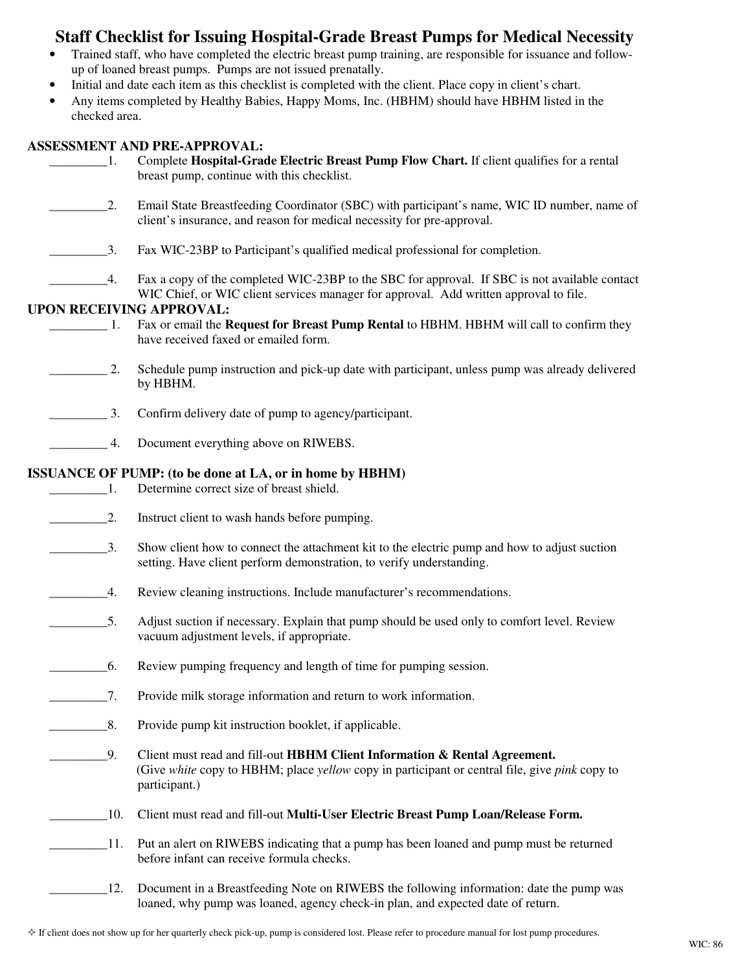## **Staff Checklist for Issuing Hospital-Grade Breast Pumps for Medical Necessity**

- Trained staff, who have completed the electric breast pump training, are responsible for issuance and followup of loaned breast pumps. Pumps are not issued prenatally.
- Initial and date each item as this checklist is completed with the client. Place copy in client's chart.
- Any items completed by Healthy Babies, Happy Moms, Inc. (HBHM) should have HBHM listed in the checked area.

## **ASSESSMENT AND PRE-APPROVAL:**

| -1.                         | ASSESSMENT AND PRE-APPROVAL:<br>Complete Hospital-Grade Electric Breast Pump Flow Chart. If client qualifies for a rental<br>breast pump, continue with this checklist.                     |
|-----------------------------|---------------------------------------------------------------------------------------------------------------------------------------------------------------------------------------------|
| 2.                          | Email State Breastfeeding Coordinator (SBC) with participant's name, WIC ID number, name of<br>client's insurance, and reason for medical necessity for pre-approval.                       |
| 3.                          | Fax WIC-23BP to Participant's qualified medical professional for completion.                                                                                                                |
| 4.                          | Fax a copy of the completed WIC-23BP to the SBC for approval. If SBC is not available contact                                                                                               |
|                             | WIC Chief, or WIC client services manager for approval. Add written approval to file.<br><b>UPON RECEIVING APPROVAL:</b>                                                                    |
| $\sim$ 1.                   | Fax or email the Request for Breast Pump Rental to HBHM. HBHM will call to confirm they<br>have received faxed or emailed form.                                                             |
| $\frac{1}{2}$ .             | Schedule pump instruction and pick-up date with participant, unless pump was already delivered<br>by HBHM.                                                                                  |
| $\overline{\phantom{1}}$ 3. | Confirm delivery date of pump to agency/participant.                                                                                                                                        |
| 4.                          | Document everything above on RIWEBS.                                                                                                                                                        |
|                             | <b>ISSUANCE OF PUMP:</b> (to be done at LA, or in home by HBHM)                                                                                                                             |
| $\sim$ $\sim$ 1.            | Determine correct size of breast shield.                                                                                                                                                    |
| $\overline{\phantom{a}}$ 2. | Instruct client to wash hands before pumping.                                                                                                                                               |
| $\overline{3}$ .            | Show client how to connect the attachment kit to the electric pump and how to adjust suction<br>setting. Have client perform demonstration, to verify understanding.                        |
| $\overline{4}$ .            | Review cleaning instructions. Include manufacturer's recommendations.                                                                                                                       |
| $\overline{\phantom{1}}$ 5. | Adjust suction if necessary. Explain that pump should be used only to comfort level. Review<br>vacuum adjustment levels, if appropriate.                                                    |
| 6.                          | Review pumping frequency and length of time for pumping session.                                                                                                                            |
| $\_7.$                      | Provide milk storage information and return to work information.                                                                                                                            |
| 8.                          | Provide pump kit instruction booklet, if applicable.                                                                                                                                        |
| 9.                          | Client must read and fill-out HBHM Client Information & Rental Agreement.<br>(Give white copy to HBHM; place yellow copy in participant or central file, give pink copy to<br>participant.) |
| 10.                         | Client must read and fill-out Multi-User Electric Breast Pump Loan/Release Form.                                                                                                            |
| 11.                         | Put an alert on RIWEBS indicating that a pump has been loaned and pump must be returned<br>before infant can receive formula checks.                                                        |
| 12.                         | Document in a Breastfeeding Note on RIWEBS the following information: date the pump was                                                                                                     |

loaned, why pump was loaned, agency check-in plan, and expected date of return.